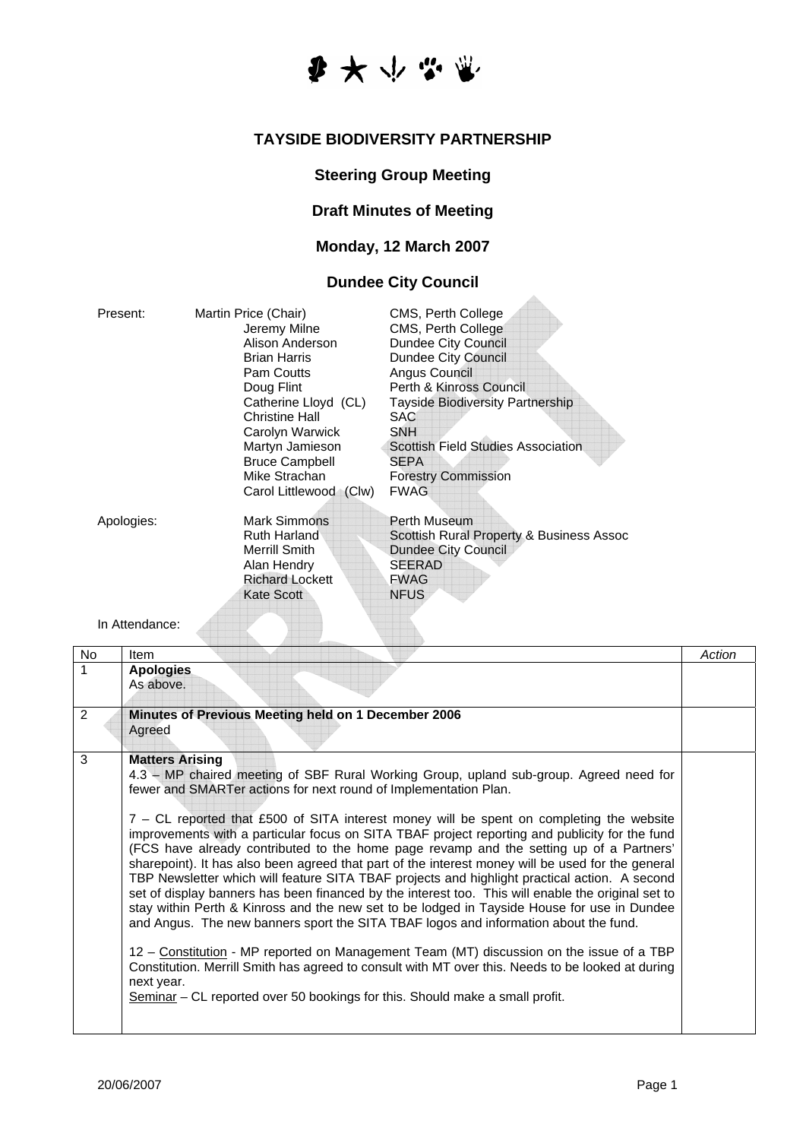

### **TAYSIDE BIODIVERSITY PARTNERSHIP**

#### **Steering Group Meeting**

## **Draft Minutes of Meeting**

## **Monday, 12 March 2007**

# **Dundee City Council**

| Present:       | Martin Price (Chair)<br>Jeremy Milne<br>Alison Anderson<br><b>Brian Harris</b><br>Pam Coutts<br>Doug Flint<br>Catherine Lloyd (CL)<br><b>Christine Hall</b><br>Carolyn Warwick<br>Martyn Jamieson<br><b>Bruce Campbell</b><br>Mike Strachan<br>Carol Littlewood (Clw) | CMS, Perth College<br>CMS, Perth College<br>Dundee City Council<br>Dundee City Council<br>Angus Council<br>Perth & Kinross Council<br><b>Tayside Biodiversity Partnership</b><br><b>SAC</b><br><b>SNH</b><br><b>Scottish Field Studies Association</b><br><b>SEPA</b><br><b>Forestry Commission</b><br><b>FWAG</b> |
|----------------|-----------------------------------------------------------------------------------------------------------------------------------------------------------------------------------------------------------------------------------------------------------------------|--------------------------------------------------------------------------------------------------------------------------------------------------------------------------------------------------------------------------------------------------------------------------------------------------------------------|
| Apologies:     | Mark Simmons<br>Ruth Harland<br>Merrill Smith<br>Alan Hendry<br><b>Richard Lockett</b><br>Kate Scott                                                                                                                                                                  | Perth Museum<br>Scottish Rural Property & Business Assoc<br><b>Dundee City Council</b><br><b>SEERAD</b><br><b>FWAG</b><br><b>NFUS</b>                                                                                                                                                                              |
| In Attendance: |                                                                                                                                                                                                                                                                       |                                                                                                                                                                                                                                                                                                                    |

| No | <b>Item</b>                                                                                                                                                                                                                                                                                                                                                                                                                                                                                                                                                                                                                                                                                                                                                                                                                                                                                                                                                                                                                                                                                                                                                                                                                                                                     | Action |
|----|---------------------------------------------------------------------------------------------------------------------------------------------------------------------------------------------------------------------------------------------------------------------------------------------------------------------------------------------------------------------------------------------------------------------------------------------------------------------------------------------------------------------------------------------------------------------------------------------------------------------------------------------------------------------------------------------------------------------------------------------------------------------------------------------------------------------------------------------------------------------------------------------------------------------------------------------------------------------------------------------------------------------------------------------------------------------------------------------------------------------------------------------------------------------------------------------------------------------------------------------------------------------------------|--------|
| 1  | <b>Apologies</b><br>As above.                                                                                                                                                                                                                                                                                                                                                                                                                                                                                                                                                                                                                                                                                                                                                                                                                                                                                                                                                                                                                                                                                                                                                                                                                                                   |        |
| 2  | Minutes of Previous Meeting held on 1 December 2006<br>Agreed                                                                                                                                                                                                                                                                                                                                                                                                                                                                                                                                                                                                                                                                                                                                                                                                                                                                                                                                                                                                                                                                                                                                                                                                                   |        |
| 3  | <b>Matters Arising</b><br>4.3 – MP chaired meeting of SBF Rural Working Group, upland sub-group. Agreed need for<br>fewer and SMARTer actions for next round of Implementation Plan.<br>7 – CL reported that £500 of SITA interest money will be spent on completing the website<br>improvements with a particular focus on SITA TBAF project reporting and publicity for the fund<br>(FCS have already contributed to the home page revamp and the setting up of a Partners'<br>sharepoint). It has also been agreed that part of the interest money will be used for the general<br>TBP Newsletter which will feature SITA TBAF projects and highlight practical action. A second<br>set of display banners has been financed by the interest too. This will enable the original set to<br>stay within Perth & Kinross and the new set to be lodged in Tayside House for use in Dundee<br>and Angus. The new banners sport the SITA TBAF logos and information about the fund.<br>12 - Constitution - MP reported on Management Team (MT) discussion on the issue of a TBP<br>Constitution. Merrill Smith has agreed to consult with MT over this. Needs to be looked at during<br>next year.<br>Seminar – CL reported over 50 bookings for this. Should make a small profit. |        |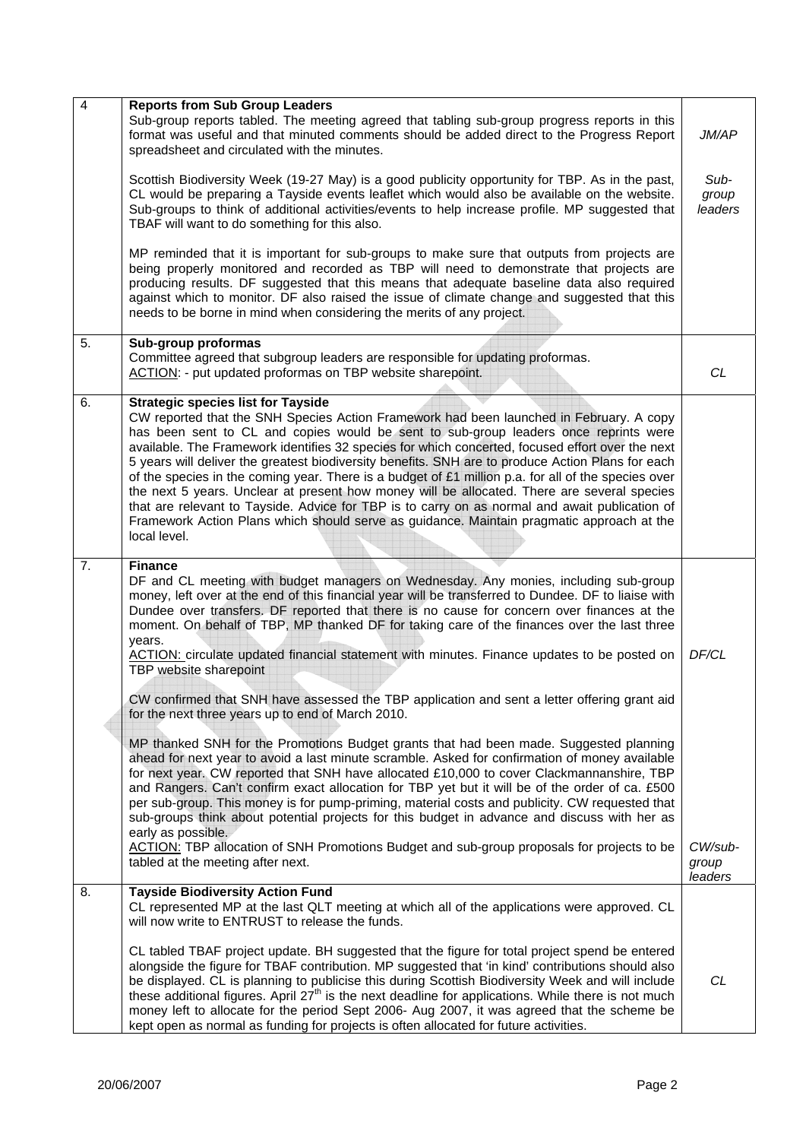| 4  | <b>Reports from Sub Group Leaders</b><br>Sub-group reports tabled. The meeting agreed that tabling sub-group progress reports in this<br>format was useful and that minuted comments should be added direct to the Progress Report<br>spreadsheet and circulated with the minutes.                                                                                                                                                                                                                                                                                                                                                                                                                                                                                                                                                                         | JM/AP                       |
|----|------------------------------------------------------------------------------------------------------------------------------------------------------------------------------------------------------------------------------------------------------------------------------------------------------------------------------------------------------------------------------------------------------------------------------------------------------------------------------------------------------------------------------------------------------------------------------------------------------------------------------------------------------------------------------------------------------------------------------------------------------------------------------------------------------------------------------------------------------------|-----------------------------|
|    | Scottish Biodiversity Week (19-27 May) is a good publicity opportunity for TBP. As in the past,<br>CL would be preparing a Tayside events leaflet which would also be available on the website.<br>Sub-groups to think of additional activities/events to help increase profile. MP suggested that<br>TBAF will want to do something for this also.                                                                                                                                                                                                                                                                                                                                                                                                                                                                                                        | Sub-<br>group<br>leaders    |
|    | MP reminded that it is important for sub-groups to make sure that outputs from projects are<br>being properly monitored and recorded as TBP will need to demonstrate that projects are<br>producing results. DF suggested that this means that adequate baseline data also required<br>against which to monitor. DF also raised the issue of climate change and suggested that this<br>needs to be borne in mind when considering the merits of any project.                                                                                                                                                                                                                                                                                                                                                                                               |                             |
| 5. | Sub-group proformas<br>Committee agreed that subgroup leaders are responsible for updating proformas.<br>ACTION: - put updated proformas on TBP website sharepoint.                                                                                                                                                                                                                                                                                                                                                                                                                                                                                                                                                                                                                                                                                        | CL                          |
| 6. | <b>Strategic species list for Tayside</b><br>CW reported that the SNH Species Action Framework had been launched in February. A copy<br>has been sent to CL and copies would be sent to sub-group leaders once reprints were<br>available. The Framework identifies 32 species for which concerted, focused effort over the next<br>5 years will deliver the greatest biodiversity benefits. SNH are to produce Action Plans for each<br>of the species in the coming year. There is a budget of £1 million p.a. for all of the species over<br>the next 5 years. Unclear at present how money will be allocated. There are several species<br>that are relevant to Tayside. Advice for TBP is to carry on as normal and await publication of<br>Framework Action Plans which should serve as guidance. Maintain pragmatic approach at the<br>local level. |                             |
| 7. | <b>Finance</b><br>DF and CL meeting with budget managers on Wednesday. Any monies, including sub-group<br>money, left over at the end of this financial year will be transferred to Dundee. DF to liaise with<br>Dundee over transfers. DF reported that there is no cause for concern over finances at the<br>moment. On behalf of TBP, MP thanked DF for taking care of the finances over the last three<br>years.<br>ACTION: circulate updated financial statement with minutes. Finance updates to be posted on<br>TBP website sharepoint                                                                                                                                                                                                                                                                                                              | DF/CL                       |
|    | CW confirmed that SNH have assessed the TBP application and sent a letter offering grant aid<br>for the next three years up to end of March 2010.<br>MP thanked SNH for the Promotions Budget grants that had been made. Suggested planning                                                                                                                                                                                                                                                                                                                                                                                                                                                                                                                                                                                                                |                             |
|    | ahead for next year to avoid a last minute scramble. Asked for confirmation of money available<br>for next year. CW reported that SNH have allocated £10,000 to cover Clackmannanshire, TBP<br>and Rangers. Can't confirm exact allocation for TBP yet but it will be of the order of ca. £500<br>per sub-group. This money is for pump-priming, material costs and publicity. CW requested that<br>sub-groups think about potential projects for this budget in advance and discuss with her as<br>early as possible.                                                                                                                                                                                                                                                                                                                                     |                             |
|    | ACTION: TBP allocation of SNH Promotions Budget and sub-group proposals for projects to be<br>tabled at the meeting after next.                                                                                                                                                                                                                                                                                                                                                                                                                                                                                                                                                                                                                                                                                                                            | CW/sub-<br>group<br>leaders |
| 8. | <b>Tayside Biodiversity Action Fund</b><br>CL represented MP at the last QLT meeting at which all of the applications were approved. CL<br>will now write to ENTRUST to release the funds.                                                                                                                                                                                                                                                                                                                                                                                                                                                                                                                                                                                                                                                                 |                             |
|    | CL tabled TBAF project update. BH suggested that the figure for total project spend be entered<br>alongside the figure for TBAF contribution. MP suggested that 'in kind' contributions should also<br>be displayed. CL is planning to publicise this during Scottish Biodiversity Week and will include<br>these additional figures. April 27 <sup>th</sup> is the next deadline for applications. While there is not much<br>money left to allocate for the period Sept 2006- Aug 2007, it was agreed that the scheme be<br>kept open as normal as funding for projects is often allocated for future activities.                                                                                                                                                                                                                                        | CL                          |